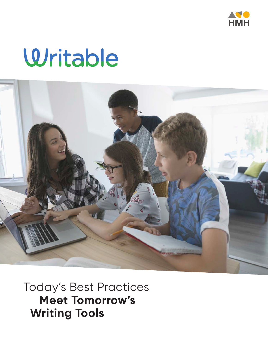

# Writable



Today's Best Practices **Meet Tomorrow's Writing Tools**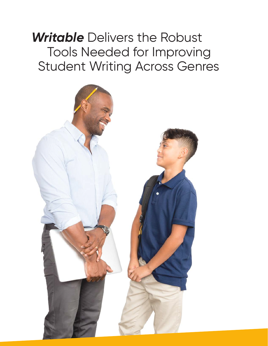### *Writable* Delivers the Robust Tools Needed for Improving Student Writing Across Genres

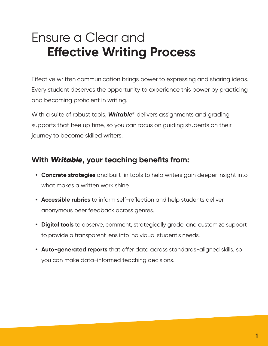## Ensure a Clear and **Effective Writing Process**

Effective written communication brings power to expressing and sharing ideas. Every student deserves the opportunity to experience this power by practicing and becoming proficient in writing.

With a suite of robust tools, *Writable*® delivers assignments and grading supports that free up time, so you can focus on guiding students on their journey to become skilled writers.

### **With** *Writable***, your teaching benefits from:**

- **• Concrete strategies** and built-in tools to help writers gain deeper insight into what makes a written work shine.
- **• Accessible rubrics** to inform self-reflection and help students deliver anonymous peer feedback across genres.
- **• Digital tools** to observe, comment, strategically grade, and customize support to provide a transparent lens into individual student's needs.
- **• Auto-generated reports** that offer data across standards-aligned skills, so you can make data-informed teaching decisions.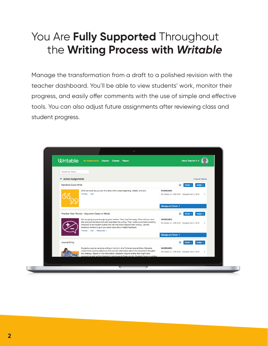### You Are **Fully Supported** Throughout the **Writing Process with** *Writable*

Manage the transformation from a draft to a polished revision with the teacher dashboard. You'll be able to view students' work, monitor their progress, and easily offer comments with the use of simple and effective tools. You can also adjust future assignments after reviewing class and student progress.

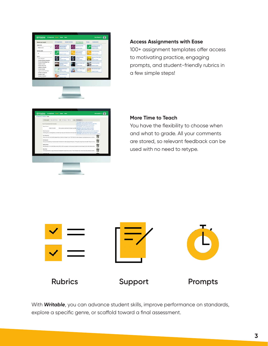| Namyw your results                          | <b>All Assignments</b><br><b>Quided Activities</b>                | <b>Short Responses</b>                               | Enters<br>Assessments                                |
|---------------------------------------------|-------------------------------------------------------------------|------------------------------------------------------|------------------------------------------------------|
| <b>GRADE LINEL</b><br><b>Mobile actions</b> | <b><i><u>Important Parksment</u></i></b><br><b>Riters Modulus</b> | <b><i><u>Internet Data Win</u></i></b>               | <b>Islumational Fengraph</b><br><b>RISKY RIGANIA</b> |
|                                             | <b>HISPANIC CARDS</b>                                             | significant jumps                                    | <b><i><u><i><u><b>Registert</b></u></i></u></i></b>  |
| wenting catalog                             | Informational Quick With                                          | <b>Nenthe Pengradi-</b>                              | <b>Nanzina Duck Write</b>                            |
| A6<br>٠                                     | <b>Registrant Salara</b>                                          | <b>Millers Bricksbox</b><br><b>Asspringed Cadara</b> | Ausignment Consta                                    |
| <b>SKILS</b>                                |                                                                   |                                                      |                                                      |
| The attractor                               | <b>Dal World Argument Suite</b><br><b>Miles</b>                   | at Modal Adamsuring<br><b>Sold Wide</b>              | Registrate la Fisikon Dollal<br><b>Britis</b>        |
| Provide a Binong Introduction               | <b>Lagreson Listers</b>                                           | <b>Paint Garante</b>                                 | <b><i><u>Leugenient</u></i></b> Liamans              |
| <b>Though a Strong Beginning</b>            |                                                                   |                                                      |                                                      |
| 11 Establish a Claim                        | <b>Seemeng to Analysian</b><br><b>Due la Netta</b>                | <b>Grounded Mode Sant</b><br>w.                      | <b>B</b> the trans lives with                        |
| Exhibition Main Line                        | <b><i><u>Improve Drive</u></i></b>                                | <b>Assistant Colors</b>                              | <b>New grow party Concerns</b>                       |
| C Establish a Situation                     |                                                                   |                                                      |                                                      |
| C Corsider Quality                          | <b>Getting The Net Clubsk</b><br><b>Billian</b>                   | Percent on, Villance, Christ<br><b>Miller</b>        | contact why hybrid factor                            |
| C Organize & Commell Week                   | <b><i><u>Returning</u></i></b>                                    | <b>Augustus Enters</b>                               | <b>Automobile Delane</b>                             |
| C Develop an Argument                       |                                                                   |                                                      |                                                      |
| Cheveles a Tape                             | <b>Kim to be Formanise</b>                                        |                                                      |                                                      |
| C Develop a Nantalive                       | <b>Ausgeniert Sature</b>                                          |                                                      |                                                      |
|                                             |                                                                   |                                                      |                                                      |

#### **Access Assignments with Ease**

100+ assignment templates offer access to motivating practice, engaging prompts, and student-friendly rubrics in a few simple steps!

| <b>Wy hardgrounds / Gardener / Grade</b>                                                                                                                                    |                                                                                                                                                                                             |  |
|-----------------------------------------------------------------------------------------------------------------------------------------------------------------------------|---------------------------------------------------------------------------------------------------------------------------------------------------------------------------------------------|--|
| Fatheringtown - Oralian (in Minus) + 1-84 - 84-Drain LA -202 Arty + 1 comp.                                                                                                 | Ful-Dealing +                                                                                                                                                                               |  |
| Elevel 18 is beneating how 18 a more.                                                                                                                                       | Pull Gradinal Crisis of Usabel submissions<br>ball Review Cram submosters that have a left review<br>Revisions Date: Dock after 2 or visite instance.                                       |  |
| <b>Kingia Jimmia</b><br>EPAIN A Defeat and Fare IR A Happy Lux (Pa)<br>Drelled Port Debt                                                                                    | have Greeke I have not praint port minima<br>Bank Elhack, Grade tensor service of aluminity<br>Die Wederk: Griede all alluttering trul and het popiuli                                      |  |
| Willia Francesco<br>A shorting have a shorting frame a conserved day to day over haved at one the most med                                                                  | Peace Disagree: Grade of autorizations where peace pleasures<br>Needs Review: Grade automaking that have he feedback<br>Leat Strawert, Grace, students that I have not revenues for a white |  |
| <b>Bust Margaretta</b><br>What is one of the must lended streamer that you believe can happen to you? Well there are multiple diseases including breast century or stoke is |                                                                                                                                                                                             |  |
| this business.<br>Here you aren' gamed up Nodula and seen thumpings for instead againg something the. "Priest gone wrong! Copic were called." Marie of us was               | 岧                                                                                                                                                                                           |  |
| <b>Blaille Charyl</b><br>805.000 pergis in the United States receive DACA. DACA is a program in which young interspects that were brought to the United States before       | 髥                                                                                                                                                                                           |  |
| <b>Kaita Samy</b><br>Cultural address restor is highly offereine and clarespectful know to sure cultures. This is the water why if allocal also being recent as annullis.   |                                                                                                                                                                                             |  |
| <b>Call Print</b>                                                                                                                                                           | $\mathbf{a}$                                                                                                                                                                                |  |

#### **More Time to Teach**

You have the flexibility to choose when and what to grade. All your comments are stored, so relevant feedback can be used with no need to retype.



With *Writable*, you can advance student skills, improve performance on standards, explore a specific genre, or scaffold toward a final assessment.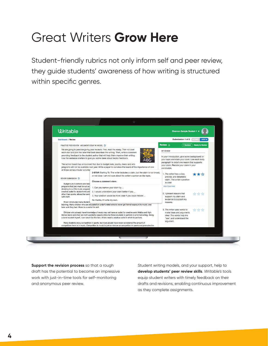## Great Writers **Grow Here**

Student-friendly rubrics not only inform self and peer review, they guide students' awareness of how writing is structured within specific genres.



**Support the revision process** so that a rough draft has the potential to become an impressive work with just-in-time tools for self-monitoring and anonymous peer review.

Student writing models, and your support, help to **develop students' peer review skills**. *Writable's* tools equip student writers with timely feedback on their drafts and revisions, enabling continuous improvement as they complete assignments.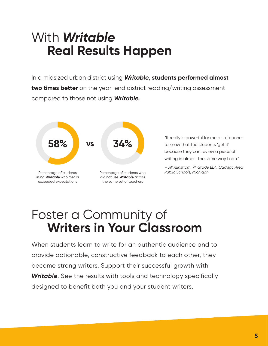### With *Writable* **Real Results Happen**

In a midsized urban district using *Writable*, **students performed almost two times better** on the year-end district reading/writing assessment compared to those not using *Writable.*



"It really is powerful for me as a teacher to know that the students 'get it' because they can review a piece of writing in almost the same way I can."

*– Jill Runstrom, 7th Grade ELA, Cadillac Area Public Schools, Michigan*

### Foster a Community of **Writers in Your Classroom**

When students learn to write for an authentic audience and to provide actionable, constructive feedback to each other, they become strong writers. Support their successful growth with *Writable*. See the results with tools and technology specifically designed to benefit both you and your student writers.